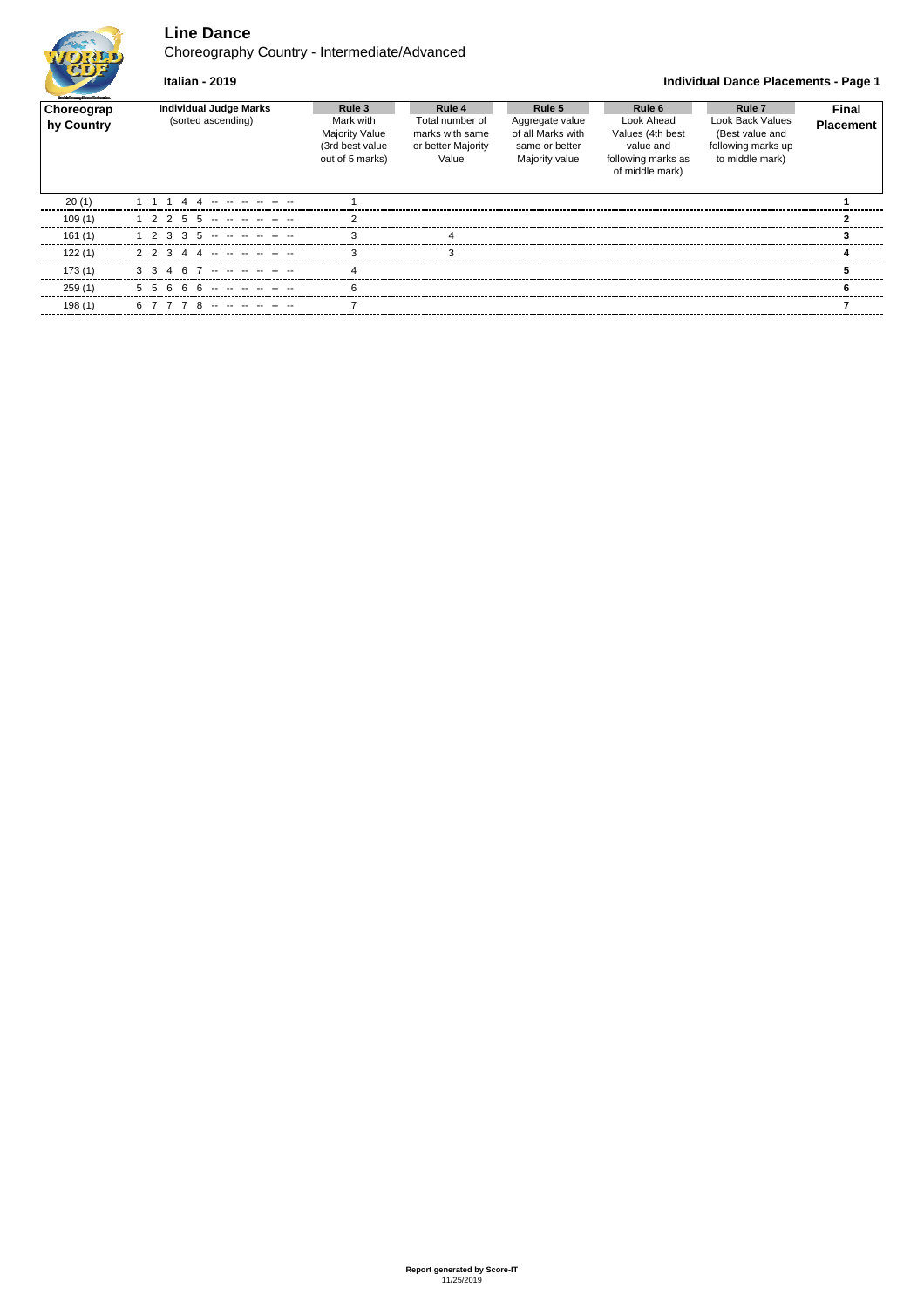# **Line Dance**

Choreography Country - Intermediate/Advanced



## **Italian - 2019 Individual Dance Placements - Page 1**

| <b>Staff Grades Departulanties</b> |                                                     |                                                                                    |                                                                             |                                                                                    |                                                                                                |                                                                                                          |                                  |
|------------------------------------|-----------------------------------------------------|------------------------------------------------------------------------------------|-----------------------------------------------------------------------------|------------------------------------------------------------------------------------|------------------------------------------------------------------------------------------------|----------------------------------------------------------------------------------------------------------|----------------------------------|
| Choreograp<br>hy Country           | <b>Individual Judge Marks</b><br>(sorted ascending) | Rule 3<br>Mark with<br><b>Majority Value</b><br>(3rd best value<br>out of 5 marks) | Rule 4<br>Total number of<br>marks with same<br>or better Majority<br>Value | Rule 5<br>Aggregate value<br>of all Marks with<br>same or better<br>Majority value | Rule 6<br>Look Ahead<br>Values (4th best<br>value and<br>following marks as<br>of middle mark) | Rule <sub>7</sub><br><b>Look Back Values</b><br>(Best value and<br>following marks up<br>to middle mark) | <b>Final</b><br><b>Placement</b> |
| 20(1)                              |                                                     |                                                                                    |                                                                             |                                                                                    |                                                                                                |                                                                                                          |                                  |
| 109(1)                             | 2255                                                |                                                                                    |                                                                             |                                                                                    |                                                                                                |                                                                                                          |                                  |
| 161(1)                             | 2 3 3 5 -- -- -- -- --                              |                                                                                    |                                                                             |                                                                                    |                                                                                                |                                                                                                          |                                  |
| 122(1)                             | $\mathbf{R}$                                        |                                                                                    |                                                                             |                                                                                    |                                                                                                |                                                                                                          |                                  |
| 173(1)                             | 467                                                 |                                                                                    |                                                                             |                                                                                    |                                                                                                |                                                                                                          |                                  |
| 259(1)                             | 66 -- -                                             |                                                                                    |                                                                             |                                                                                    |                                                                                                |                                                                                                          |                                  |
| 198(1)                             |                                                     |                                                                                    |                                                                             |                                                                                    |                                                                                                |                                                                                                          |                                  |
|                                    |                                                     |                                                                                    |                                                                             |                                                                                    |                                                                                                |                                                                                                          |                                  |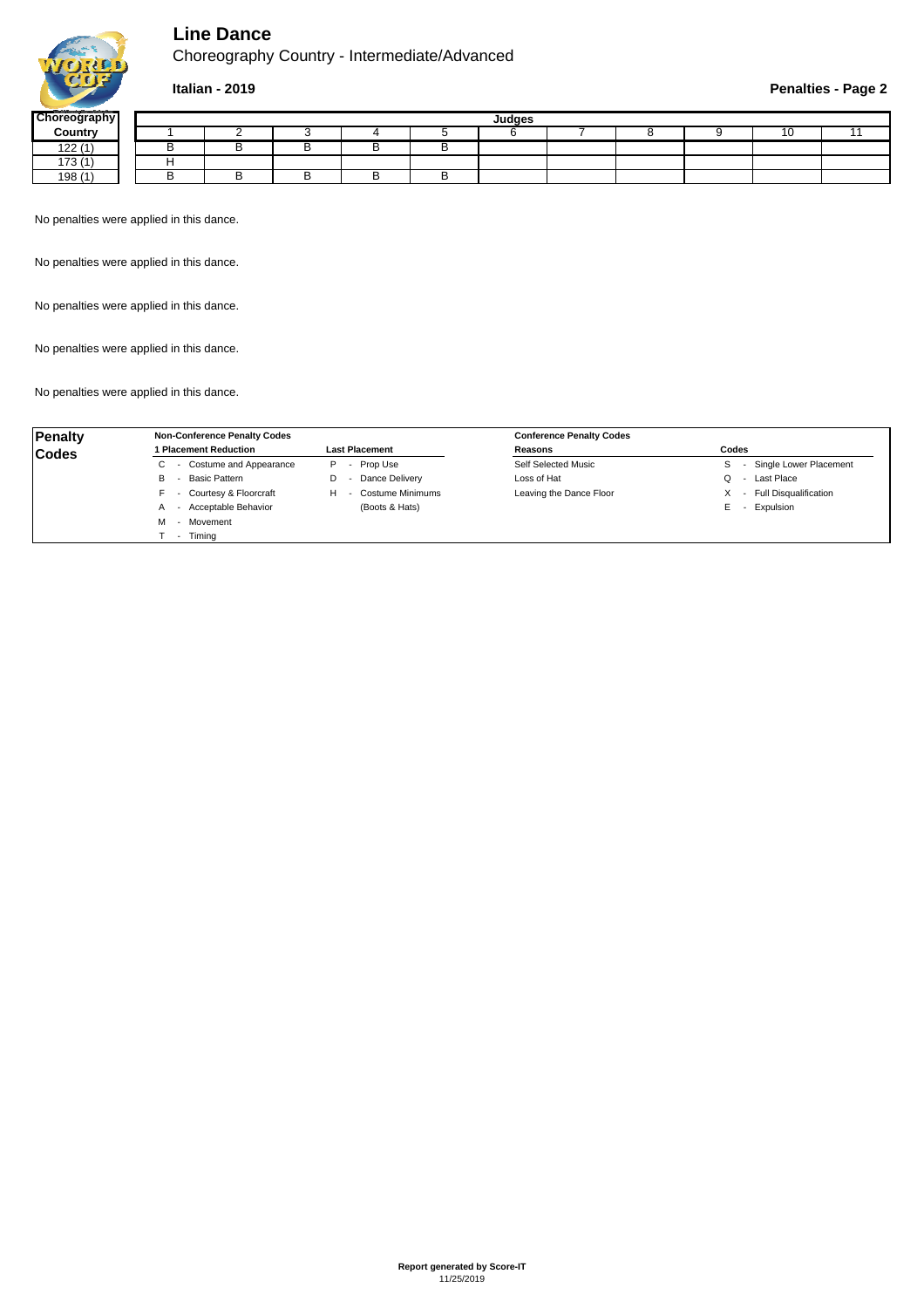

# **Line Dance**

Choreography Country - Intermediate/Advanced

## **Italian - 2019 Penalties - Page 2**

| <b>Choreography</b> | Judges |  |  |  |  |  |  |  |  |  |  |
|---------------------|--------|--|--|--|--|--|--|--|--|--|--|
| Country             |        |  |  |  |  |  |  |  |  |  |  |
| 122(1)              |        |  |  |  |  |  |  |  |  |  |  |
| 172(1)<br>ں ، ،     |        |  |  |  |  |  |  |  |  |  |  |
| 198 (1              |        |  |  |  |  |  |  |  |  |  |  |

No penalties were applied in this dance.

No penalties were applied in this dance.

No penalties were applied in this dance.

No penalties were applied in this dance.

No penalties were applied in this dance.

| <b>Penalty</b> | <b>Non-Conference Penalty Codes</b> |                       | <b>Conference Penalty Codes</b> |                              |
|----------------|-------------------------------------|-----------------------|---------------------------------|------------------------------|
| <b>Codes</b>   | <b>Placement Reduction</b>          | <b>Last Placement</b> | Reasons                         | Codes                        |
|                | - Costume and Appearance            | - Prop Use<br>P.      | Self Selected Music             | Single Lower Placement       |
|                | Basic Pattern<br>в                  | Dance Delivery        | Loss of Hat                     | Last Place                   |
|                | - Courtesy & Floorcraft             | Costume Minimums<br>н | Leaving the Dance Floor         | <b>Full Disqualification</b> |
|                | - Acceptable Behavior               | (Boots & Hats)        |                                 | Expulsion<br>E.              |
|                | - Movement<br>м                     |                       |                                 |                              |
|                | - Timing                            |                       |                                 |                              |